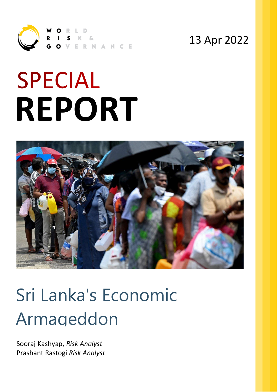

### 13 Apr 2022

# **SPECIAL REPORT**



## Sri Lanka's Economic Armageddon

Sooraj Kashyap, *Risk Analyst* Prashant Rastogi *Risk Analyst*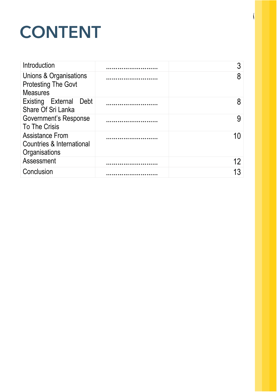## CONTENT

| Introduction                                                            |    |
|-------------------------------------------------------------------------|----|
| Unions & Organisations<br><b>Protesting The Govt</b><br><b>Measures</b> | 8  |
| Existing External Debt<br>Share Of Sri Lanka                            | 8  |
| <b>Government's Response</b><br>To The Crisis                           |    |
| <b>Assistance From</b><br>Countries & International<br>Organisations    |    |
| Assessment                                                              | 12 |
| Conclusion                                                              |    |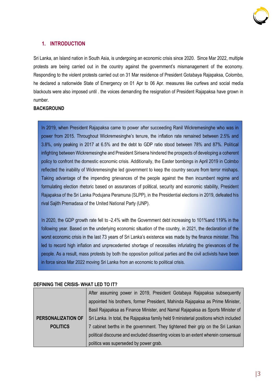

#### **1. INTRODUCTION**

Sri Lanka, an Island nation in South Asia, is undergoing an economic crisis since 2020. Since Mar 2022, multiple protests are being carried out in the country against the government's mismanagement of the economy. Responding to the violent protests carried out on 31 Mar residence of President Gotabaya Rajapaksa, Colombo, he declared a nationwide State of Emergency on 01 Apr to 06 Apr. measures like curfews and social media blackouts were also imposed until . the voices demanding the resignation of President Rajapaksa have grown in number.

#### **BACKGROUND**

In 2019, when President Rajapaksa came to power after succeeding Ranil Wickremesinghe who was in power from 2015. Throughout Wickremesinghe's tenure, the inflation rate remained between 2.5% and 3.8%, only peaking in 2017 at 6.5% and the debt to GDP ratio stood between 78% and 87%. Political infighting between Wickremesinghe and President Sirisena hindered the prospects of developing a coherent policy to confront the domestic economic crisis. Additionally, the Easter bombings in April 2019 in Colmbo reflected the inability of Wickremesinghe led government to keep the country secure from terror mishaps. Taking advantage of the impending grievances of the people against the then incumbent regime and formulating election rhetoric based on assurances of political, security and economic stability. President Rajapaksa of the Sri Lanka Podujana Peramuna (SLPP), in the Presidential elections in 2019, defeated his rival Sajith Premadasa of the United National Party (UNP).

In 2020, the GDP growth rate fell to -2.4% with the Government debt increasing to 101% and 119% in the following year. Based on the underlying economic situation of the country, in 2021, the declaration of the worst economic crisis in the last 73 years of Sri Lanka's existence was made by the finance minister. This led to record high inflation and unprecedented shortage of necessities infuriating the grievances of the people. As a result, mass protests by both the opposition political parties and the civil activists have been in force since Mar 2022 moving Sri Lanka from an economic to political crisis.

#### **DEFINING THE CRISIS- WHAT LED TO IT?**

|                           | After assuming power in 2019, President Gotabaya Rajapaksa subsequently               |  |
|---------------------------|---------------------------------------------------------------------------------------|--|
|                           | appointed his brothers, former President, Mahinda Rajapaksa as Prime Minister,        |  |
|                           | Basil Rajapaksa as Finance Minister, and Namal Rajapaksa as Sports Minister of        |  |
| <b>PERSONALIZATION OF</b> | Sri Lanka. In total, the Rajapaksa family held 9 ministerial positions which included |  |
| <b>POLITICS</b>           | 7 cabinet berths in the government. They tightened their grip on the Sri Lankan       |  |
|                           | political discourse and excluded dissenting voices to an extent wherein consensual    |  |
|                           | politics was superseded by power grab.                                                |  |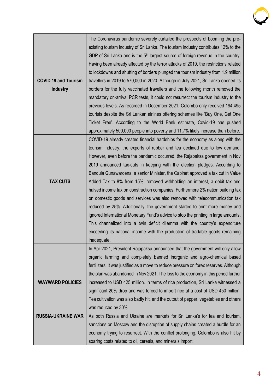

| <b>COVID 19 and Tourism</b><br><b>Industry</b> | The Coronavirus pandemic severely curtailed the prospects of booming the pre-<br>existing tourism industry of Sri Lanka. The tourism industry contributes 12% to the<br>GDP of Sri Lanka and is the $5th$ largest source of foreign revenue in the country.<br>Having been already affected by the terror attacks of 2019, the restrictions related<br>to lockdowns and shutting of borders plunged the tourism industry from 1.9 million<br>travellers in 2019 to 570,000 in 2020. Although in July 2021, Sri Lanka opened its<br>borders for the fully vaccinated travellers and the following month removed the<br>mandatory on-arrival PCR tests, it could not resurrect the tourism industry to the<br>previous levels. As recorded in December 2021, Colombo only received 194,495<br>tourists despite the Sri Lankan airlines offering schemes like 'Buy One, Get One                                                                                                                                                                                                                           |
|------------------------------------------------|--------------------------------------------------------------------------------------------------------------------------------------------------------------------------------------------------------------------------------------------------------------------------------------------------------------------------------------------------------------------------------------------------------------------------------------------------------------------------------------------------------------------------------------------------------------------------------------------------------------------------------------------------------------------------------------------------------------------------------------------------------------------------------------------------------------------------------------------------------------------------------------------------------------------------------------------------------------------------------------------------------------------------------------------------------------------------------------------------------|
|                                                | Ticket Free'. According to the World Bank estimate, Covid-19 has pushed                                                                                                                                                                                                                                                                                                                                                                                                                                                                                                                                                                                                                                                                                                                                                                                                                                                                                                                                                                                                                                |
| <b>TAX CUTS</b>                                | approximately 500,000 people into poverty and 11.7% likely increase than before.<br>COVID-19 already created financial hardships for the economy as along with the<br>tourism industry, the exports of rubber and tea declined due to low demand.<br>However, even before the pandemic occurred, the Rajapaksa government in Nov<br>2019 announced tax-cuts in keeping with the election pledges. According to<br>Bandula Gunawardena, a senior Minister, the Cabinet approved a tax cut in Value<br>Added Tax to 8% from 15%, removed withholding an interest, a debit tax and<br>halved income tax on construction companies. Furthermore 2% nation building tax<br>on domestic goods and services was also removed with telecommunication tax<br>reduced by 25%. Additionally, the government started to print more money and<br>ignored International Monetary Fund's advice to stop the printing in large amounts.<br>This channelized into a twin deficit dilemma with the country's expenditure<br>exceeding its national income with the production of tradable goods remaining<br>inadequate. |
| <b>WAYWARD POLICIES</b>                        | In Apr 2021, President Rajapaksa announced that the government will only allow<br>organic farming and completely banned inorganic and agro-chemical based<br>fertilizers. It was justified as a move to reduce pressure on forex reserves. Although<br>the plan was abandoned in Nov 2021. The loss to the economy in this period further<br>increased to USD 425 million. In terms of rice production, Sri Lanka witnessed a<br>significant 20% drop and was forced to import rice at a cost of USD 450 million.<br>Tea cultivation was also badly hit, and the output of pepper, vegetables and others<br>was reduced by 30%.                                                                                                                                                                                                                                                                                                                                                                                                                                                                        |
| <b>RUSSIA-UKRAINE WAR</b>                      | As both Russia and Ukraine are markets for Sri Lanka's for tea and tourism,                                                                                                                                                                                                                                                                                                                                                                                                                                                                                                                                                                                                                                                                                                                                                                                                                                                                                                                                                                                                                            |
|                                                | sanctions on Moscow and the disruption of supply chains created a hurdle for an<br>economy trying to resurrect. With the conflict prolonging, Colombo is also hit by                                                                                                                                                                                                                                                                                                                                                                                                                                                                                                                                                                                                                                                                                                                                                                                                                                                                                                                                   |
|                                                | soaring costs related to oil, cereals, and minerals import.                                                                                                                                                                                                                                                                                                                                                                                                                                                                                                                                                                                                                                                                                                                                                                                                                                                                                                                                                                                                                                            |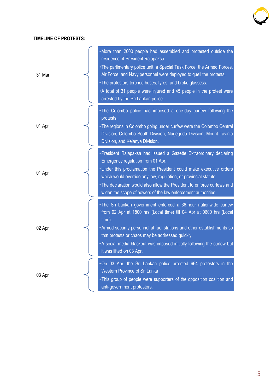

#### **TIMELINE OF PROTESTS:**

| 31 Mar | . More than 2000 people had assembled and protested outside the<br>residence of President Rajapaksa.<br>• The parlimentary police unit, a Special Task Force, the Armed Forces,<br>Air Force, and Navy personnel were deployed to quell the protests.<br>• The protestors torched buses, tyres, and broke glassess.<br>• A total of 31 people were injured and 45 people in the protest were<br>arrested by the Sri Lankan police. |
|--------|------------------------------------------------------------------------------------------------------------------------------------------------------------------------------------------------------------------------------------------------------------------------------------------------------------------------------------------------------------------------------------------------------------------------------------|
| 01 Apr | . The Colombo police had imposed a one-day curfew following the<br>protests.<br>• The regions in Colombo going under curfew were the Colombo Central<br>Division, Colombo South Division, Nugegoda Division, Mount Lavinia<br>Division, and Kelanya Division.                                                                                                                                                                      |
| 01 Apr | • President Rajapaksa had issued a Gazette Extraordinary declaring<br>Emergency regulation from 01 Apr.<br>. Under this proclamation the President could make executive orders<br>which would override any law, regulation, or provincial statute.<br>. The declaration would also allow the President to enforce curfews and<br>widen the scope of powers of the law enforcement authorities.                                     |
| 02 Apr | . The Sri Lankan government enforced a 36-hour nationwide curfew<br>from 02 Apr at 1800 hrs (Local time) till 04 Apr at 0600 hrs (Local<br>time).<br>. Armed security personnel at fuel stations and other establishments so<br>that protests or chaos may be addressed quickly.<br>. A social media blackout was imposed initially following the curfew but<br>it was lifted on 03 Apr.                                           |
| 03 Apr | . On 03 Apr, the Sri Lankan police arrested 664 protestors in the<br><b>Western Province of Sri Lanka</b><br>. This group of people were supporters of the opposition coalition and<br>anti-government protestors.                                                                                                                                                                                                                 |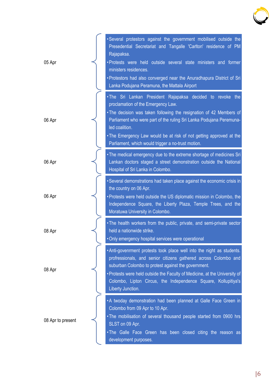

| 05 Apr            | . Several protestors against the government mobilised outside the<br>Presedential Secretariat and Tangalle 'Carlton' residence of PM<br>Rajapaksa.<br>. Protests were held outside several state ministers and former<br>ministers residences.<br>• Protestors had also converged near the Anuradhapura District of Sri<br>Lanka Podujana Peramuna, the Mattala Airport                       |
|-------------------|-----------------------------------------------------------------------------------------------------------------------------------------------------------------------------------------------------------------------------------------------------------------------------------------------------------------------------------------------------------------------------------------------|
| 06 Apr            | . The Sri Lankan President Rajapaksa decided to revoke the<br>proclamation of the Emergency Law.<br>. The decision was taken following the resignation of 42 Members of<br>Parliament who were part of the ruling Sri Lanka Podujana Peremuna-<br>led coalition.<br>. The Emergency Law would be at risk of not getting approved at the<br>Parliament, which would trigger a no-trust motion. |
| 06 Apr            | • The medical emergency due to the extreme shortage of medicines Sri<br>Lankan doctors staged a street demonstration outside the National<br>Hospital of Sri Lanka in Colombo.                                                                                                                                                                                                                |
| 06 Apr            | • Several demonstrations had taken place against the economic crisis in<br>the country on 06 Apr.<br>• Protests were held outside the US diplomatic mission in Colombo, the<br>Independence Square, the Liberty Plaza, Temple Trees, and the<br>Moratuwa University in Colombo.                                                                                                               |
| 08 Apr            | . The health workers from the public, private, and semi-private sector<br>held a nationwide strike.<br>. Only emergency hospital services were operational                                                                                                                                                                                                                                    |
| 08 Apr            | . Anti-govenrment protests took place well into the night as students.<br>profressionals, and senior citizens gathered across Colombo and<br>suburban Colombo to protest against the government.<br>• Protests were held outside the Faculty of Medicine, at the University of<br>Colombo, Lipton Circus, the Independence Square, Kollupitiya's<br>Liberty Junction.                         |
| 08 Apr to present | . A twoday demonstration had been planned at Galle Face Green in<br>Colombo from 09 Apr to 10 Apr.<br>. The mobilisation of several thousand people started from 0900 hrs<br>SLST on 09 Apr.<br>. The Galle Face Green has been closed citing the reason as<br>development purposes.                                                                                                          |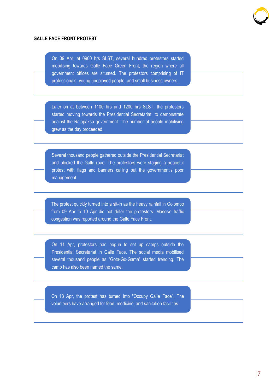

#### **GALLE FACE FRONT PROTEST**

On 09 Apr, at 0900 hrs SLST, several hundred protestors started mobilising towards Galle Face Green Front, the region where all government offices are situated. The protestors comprising of IT professionals, young uneployed people, and small business owners.

Later on at between 1100 hrs and 1200 hrs SLST, the protestors started moving towards the Presidential Secretariat, to demonstrate against the Rajapaksa government. The number of people mobilising grew as the day proceeded.

Several thousand people gathered outside the Presidential Secretariat and blocked the Galle road. The protestors were staging a peaceful protest with flags and banners calling out the government's poor management.

The protest quickly turned into a sit-in as the heavy rainfall in Colombo from 09 Apr to 10 Apr did not deter the protestors. Massive traffic congestion was reported around the Galle Face Front.

On 11 Apr, protestors had begun to set up camps outside the Presidential Secretariat in Galle Face. The social media mobilised several thousand people as "Gota-Go-Gama" started trending. The camp has also been named the same.

On 13 Apr, the protest has turned into "Occupy Galle Face". The volunteers have arranged for food, medicine, and sanitation facilities.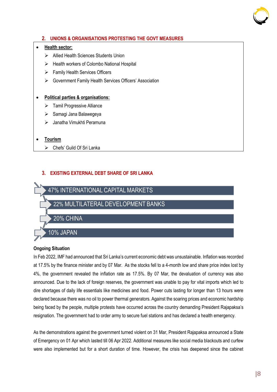

#### **2. UNIONS & ORGANISATIONS PROTESTING THE GOVT MEASURES**

#### • **Health sector:**

- ➢ Allied Health Sciences Students Union
- ➢ Health workers of Colombo National Hospital
- ➢ Family Health Services Officers
- ➢ Government Family Health Services Officers' Association

#### • **Political parties & organisations:**

- ➢ Tamil Progressive Alliance
- ➢ Samagi Jana Balawegeya
- ➢ Janatha Vimukhti Peramuna
- **Tourism**
	- ➢ Chefs' Guild Of Sri Lanka

#### **3. EXISTING EXTERNAL DEBT SHARE OF SRI LANKA**



#### **Ongoing Situation**

In Feb 2022, IMF had announced that Sri Lanka's current economic debt was unsustainable. Inflation was recorded at 17.5% by the finance minister and by 07 Mar. As the stocks fell to a 4-month low and share price index lost by 4%, the government revealed the inflation rate as 17.5%. By 07 Mar, the devaluation of currency was also announced. Due to the lack of foreign reserves, the government was unable to pay for vital imports which led to dire shortages of daily life essentials like medicines and food. Power cuts lasting for longer than 13 hours were declared because there was no oil to power thermal generators. Against the soaring prices and economic hardship being faced by the people, multiple protests have occurred across the country demanding President Rajapaksa's resignation. The government had to order army to secure fuel stations and has declared a health emergency.

As the demonstrations against the government turned violent on 31 Mar, President Rajapaksa announced a State of Emergency on 01 Apr which lasted till 06 Apr 2022. Additional measures like social media blackouts and curfew were also implemented but for a short duration of time. However, the crisis has deepened since the cabinet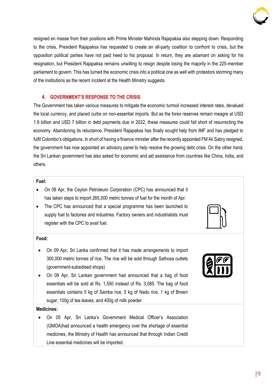

resigned en masse from their positions with Prime Minister Mahinda Rajapaksa also stepping down. Responding to the crisis, President Rajapaksa has requested to create an all-party coalition to confront to crisis, but the opposition political parties have not paid heed to his proposal. In return, they are adamant on asking for his resignation, but President Rajapaksa remains unwilling to resign despite losing the majority in the 225-member parliament to govern. This has turned the economic crisis into a political one as well with protestors storming many of the institutions as the recent incident at the Health Ministry suggests.

#### **4. GOVERNMENT'S RESPONSE TO THE CRISIS**

The Government has taken various measures to mitigate the economic turmoil increased interest rates, devalued the local currency, and placed curbs on non-essential imports. But as the forex reserves remain meagre at USD 1.9 billion and USD 7 billion in debt payments due in 2022, these measures could fall short of resurrecting the economy. Abandoning its reluctance, President Rajapaksa has finally sought help from IMF and has pledged to fulfil Colombo's obligations. In short of having a finance minister after the recently appointed FM Ali Sabry resigned, the government has now appointed an advisory panel to help resolve the growing debt crisis. On the other hand, the Sri Lankan government has also asked for economic and aid assistance from countries like China, India, and others.

#### **Fuel:**

- On 08 Apr, the Ceylon Petroleum Corporation (CPC) has announced that it has taken steps to import 265,000 metric tonnes of fuel for the month of Apr.
- The CPC has announced that a special programme has been launched to supply fuel to factories and industries. Factory owners and industrialists must register with the CPC to avail fuel.



#### **Food:**

- On 09 Apr, Sri Lanka confirmed that it has made arrangements to import 300,000 metric tonnes of rice. The rice will be sold through Sathosa outlets (government-subsidised shops)
- On 09 Apr, Sri Lankan government had announced that a bag of food essentials will be sold at Rs. 1,550 instead of Rs. 3,085. The bag of food essentials contains 5 kg of Samba rice, 5 kg of Nadu rice, 1 kg of Brown sugar, 100g of tea leaves, and 400g of milk powder.

#### **Medicines:**

• On 05 Apr, Sri Lanka's Government Medical Officer's Association (GMOA)had announced a health emergency over the shortage of essential medicines, the Ministry of Health has announced that through Indian Credit Line essential medicines will be imported.

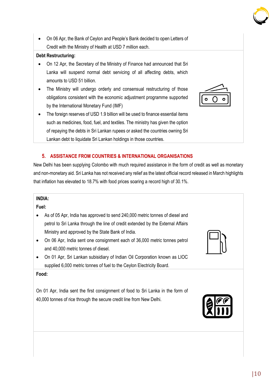• On 06 Apr, the Bank of Ceylon and People's Bank decided to open Letters of Credit with the Ministry of Health at USD 7 million each.

#### **Debt Restructuring:**

- On 12 Apr, the Secretary of the Ministry of Finance had announced that Sri Lanka will suspend normal debt servicing of all affecting debts, which amounts to USD 51 billion.
- The Ministry will undergo orderly and consensual restructuring of those obligations consistent with the economic adjustment programme supported by the International Monetary Fund (IMF)
- The foreign reserves of USD 1.9 billion will be used to finance essential items such as medicines, food, fuel, and textiles. The ministry has given the option of repaying the debts in Sri Lankan rupees or asked the countries owning Sri Lankan debt to liquidate Sri Lankan holdings in those countries.

#### **5. ASSISTANCE FROM COUNTRIES & INTERNATIONAL ORGANISATIONS**

New Delhi has been supplying Colombo with much required assistance in the form of credit as well as monetary and non-monetary aid. Sri Lanka has not received any relief as the latest official record released in March highlights that inflation has elevated to 18.7% with food prices soaring a record high of 30.1%.

#### **INDIA:**

#### **Fuel:**

- As of 05 Apr, India has approved to send 240,000 metric tonnes of diesel and petrol to Sri Lanka through the line of credit extended by the External Affairs Ministry and approved by the State Bank of India.
- On 06 Apr, India sent one consignment each of 36,000 metric tonnes petrol and 40,000 metric tonnes of diesel.
- On 01 Apr, Sri Lankan subisidiary of Indian Oil Corporation known as LIOC supplied 6,000 metric tonnes of fuel to the Ceylon Electricity Board.

#### **Food:**

On 01 Apr, India sent the first consignment of food to Sri Lanka in the form of 40,000 tonnes of rice through the secure credit line from New Delhi.









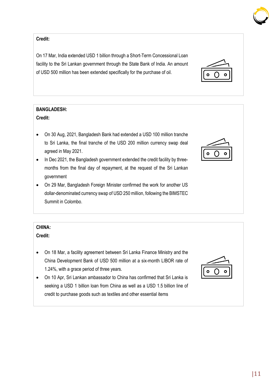#### **Credit:**

On 17 Mar, India extended USD 1 billion through a Short-Term Concessional Loan facility to the Sri Lankan government through the State Bank of India. An amount of USD 500 million has been extended specifically for the purchase of oil.

### **BANGLADESH:**

#### **Credit:**

- On 30 Aug, 2021, Bangladesh Bank had extended a USD 100 million tranche to Sri Lanka, the final tranche of the USD 200 million currency swap deal agreed in May 2021.
- In Dec 2021, the Bangladesh government extended the credit facility by threemonths from the final day of repayment, at the request of the Sri Lankan government
- On 29 Mar, Bangladesh Foreign Minister confirmed the work for another US dollar-denominated currency swap of USD 250 million, following the BIMSTEC Summit in Colombo.

#### **CHINA:**

**Credit:**

- On 18 Mar, a facility agreement between Sri Lanka Finance Ministry and the China Development Bank of USD 500 million at a six-month LIBOR rate of 1.24%, with a grace period of three years.
- On 10 Apr, Sri Lankan ambassador to China has confirmed that Sri Lanka is seeking a USD 1 billion loan from China as well as a USD 1.5 billion line of credit to purchase goods such as textiles and other essential items







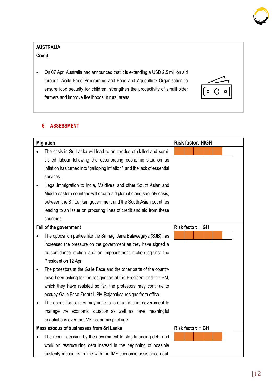#### **AUSTRALIA**

**Credit:**

• On 07 Apr, Australia had announced that it is extending a USD 2.5 million aid through World Food Programme and Food and Agriculture Organisation to ensure food security for children, strengthen the productivity of smallholder farmers and improve livelihoods in rural areas.

#### **6. ASSESSMENT**

|           | <b>Migration</b>                                                          | <b>Risk factor: HIGH</b> |
|-----------|---------------------------------------------------------------------------|--------------------------|
|           | The crisis in Sri Lanka will lead to an exodus of skilled and semi-       |                          |
|           | skilled labour following the deteriorating economic situation as          |                          |
|           | inflation has turned into "galloping inflation" and the lack of essential |                          |
|           | services.                                                                 |                          |
|           | Illegal immigration to India, Maldives, and other South Asian and         |                          |
|           | Middle eastern countries will create a diplomatic and security crisis,    |                          |
|           | between the Sri Lankan government and the South Asian countries           |                          |
|           | leading to an issue on procuring lines of credit and aid from these       |                          |
|           | countries.                                                                |                          |
|           | Fall of the government                                                    | <b>Risk factor: HIGH</b> |
|           | The opposition parties like the Samagi Jana Balawegaya (SJB) has          |                          |
|           | increased the pressure on the government as they have signed a            |                          |
|           | no-confidence motion and an impeachment motion against the                |                          |
|           | President on 12 Apr.                                                      |                          |
| $\bullet$ | The protestors at the Galle Face and the other parts of the country       |                          |
|           | have been asking for the resignation of the President and the PM,         |                          |
|           | which they have resisted so far, the protestors may continue to           |                          |
|           | occupy Galle Face Front till PM Rajapaksa resigns from office.            |                          |
|           | The opposition parties may unite to form an interim government to         |                          |
|           | manage the economic situation as well as have meaningful                  |                          |
|           | negotiations over the IMF economic package.                               |                          |
|           | Mass exodus of businesses from Sri Lanka                                  | <b>Risk factor: HIGH</b> |
|           | The recent decision by the government to stop financing debt and          |                          |
|           | work on restructuring debt instead is the beginning of possible           |                          |
|           | austerity measures in line with the IMF economic assistance deal.         |                          |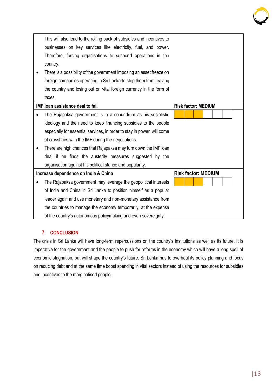| This will also lead to the rolling back of subsidies and incentives to  |                            |
|-------------------------------------------------------------------------|----------------------------|
| businesses on key services like electricity, fuel, and power.           |                            |
| Therefore, forcing organisations to suspend operations in the           |                            |
| country.                                                                |                            |
| There is a possibility of the government imposing an asset freeze on    |                            |
| foreign companies operating in Sri Lanka to stop them from leaving      |                            |
| the country and losing out on vital foreign currency in the form of     |                            |
| taxes.                                                                  |                            |
| <b>IMF loan assistance deal to fail</b>                                 | <b>Risk factor: MEDIUM</b> |
| The Rajapaksa government is in a conundrum as his socialistic           |                            |
| ideology and the need to keep financing subsidies to the people         |                            |
| especially for essential services, in order to stay in power, will come |                            |
| at crosshairs with the IMF during the negotiations.                     |                            |
| There are high chances that Rajapaksa may turn down the IMF loan        |                            |
| deal if he finds the austerity measures suggested by the                |                            |
| organisation against his political stance and popularity.               |                            |
| Increase dependence on India & China                                    | <b>Risk factor: MEDIUM</b> |
| The Rajapaksa government may leverage the geopolitical interests        |                            |
| of India and China in Sri Lanka to position himself as a popular        |                            |
|                                                                         |                            |
| leader again and use monetary and non-monetary assistance from          |                            |
| the countries to manage the economy temporarily, at the expense         |                            |

#### **7. CONCLUSION**

The crisis in Sri Lanka will have long-term repercussions on the country's institutions as well as its future. It is imperative for the government and the people to push for reforms in the economy which will have a long spell of economic stagnation, but will shape the country's future. Sri Lanka has to overhaul its policy planning and focus on reducing debt and at the same time boost spending in vital sectors instead of using the resources for subsidies and incentives to the marginalised people.